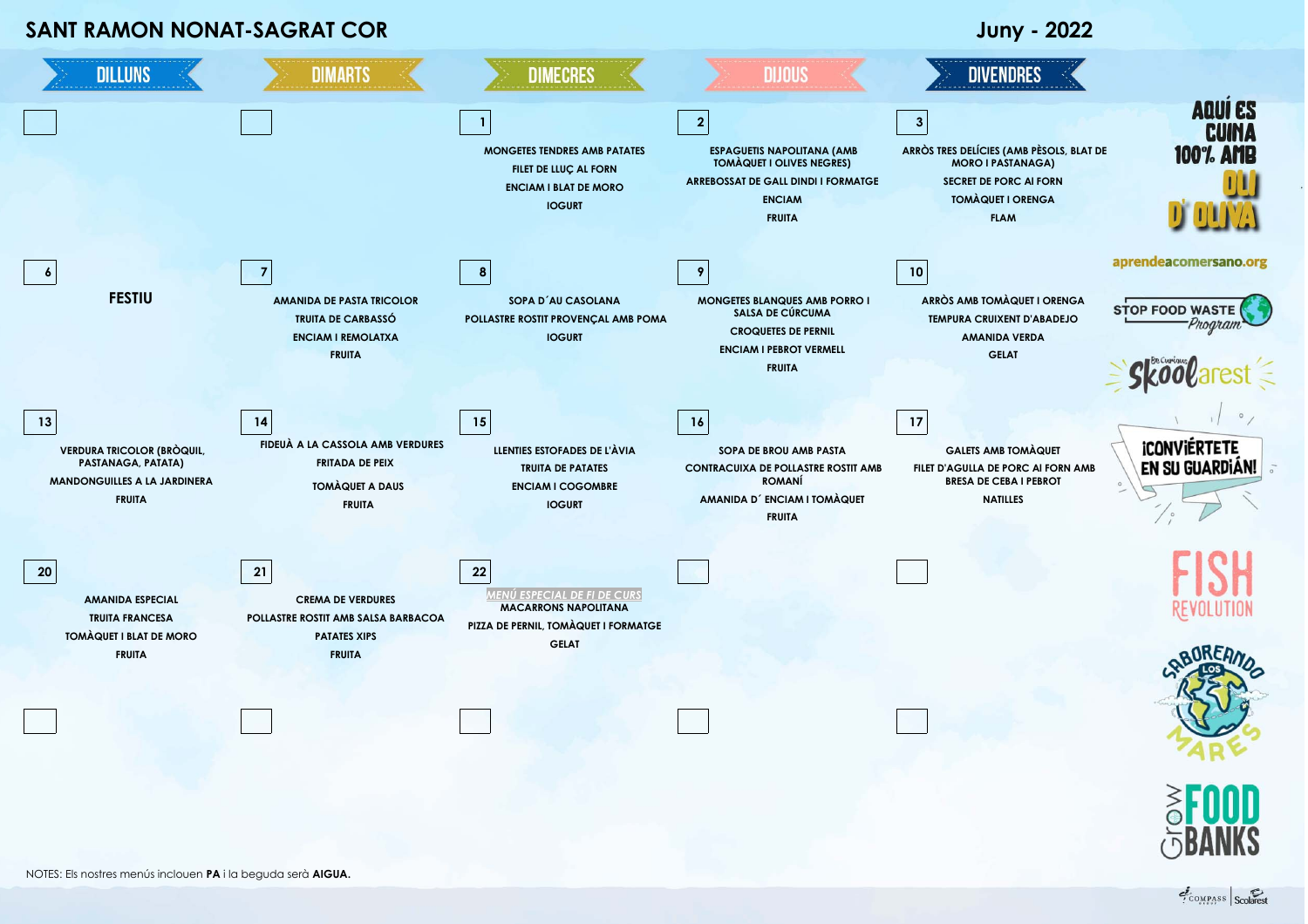## **SANT RAMON NONAT-SAGRAT COR Juny - 2022**